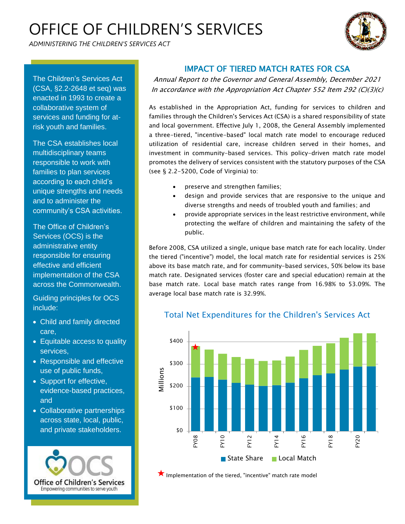# OFFICE OF CHILDREN'S SERVICES

*ADMINISTERING THE CHILDREN'S SERVICES ACT* 



The Children's Services Act (CSA, §2.2-2648 et seq) was enacted in 1993 to create a collaborative system of services and funding for atrisk youth and families.

The CSA establishes local multidisciplinary teams responsible to work with families to plan services according to each child's unique strengths and needs and to administer the community's CSA activities.

The Office of Children's Services (OCS) is the administrative entity responsible for ensuring effective and efficient implementation of the CSA across the Commonwealth.

Guiding principles for OCS include:

- Child and family directed care,
- Equitable access to quality services,
- Responsible and effective use of public funds,
- Support for effective, evidence-based practices, and
- Collaborative partnerships across state, local, public, and private stakeholders.



### IMPACT OF TIERED MATCH RATES FOR CSA

Annual Report to the Governor and General Assembly, December 2021 In accordance with the Appropriation Act Chapter 552 Item 292 (C)(3)(c)

As established in the Appropriation Act, funding for services to children and families through the Children's Services Act (CSA) is a shared responsibility of state and local government. Effective July 1, 2008, the General Assembly implemented a three-tiered, "incentive-based" local match rate model to encourage reduced utilization of residential care, increase children served in their homes, and investment in community-based services. This policy-driven match rate model promotes the delivery of services consistent with the statutory purposes of the CSA (see § 2.2-5200, Code of Virginia) to:

- preserve and strengthen families;
- design and provide services that are responsive to the unique and diverse strengths and needs of troubled youth and families; and
- provide appropriate services in the least restrictive environment, while protecting the welfare of children and maintaining the safety of the public.

Before 2008, CSA utilized a single, unique base match rate for each locality. Under the tiered ("incentive") model, the local match rate for residential services is 25% above its base match rate, and for community-based services, 50% below its base match rate. Designated services (foster care and special education) remain at the base match rate. Local base match rates range from 16.98% to 53.09%. The average local base match rate is 32.99%.



Total Net Expenditures for the Children's Services Act

**X** Implementation of the tiered, "incentive" match rate model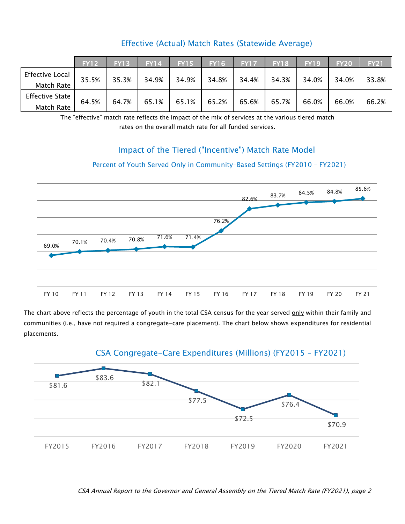|                        | <b>FY12</b> | <b>FY13</b> | <b>FY14</b> | <b>FY15</b> | <b>FY16</b> | <b>FY17</b> | <b>FY18</b> | <b>FY19</b> | <b>FY20</b> | <b>FY21</b> |
|------------------------|-------------|-------------|-------------|-------------|-------------|-------------|-------------|-------------|-------------|-------------|
| <b>Effective Local</b> | 35.5%       | 35.3%       | 34.9%       | 34.9%       | 34.8%       | 34.4%       | 34.3%       | 34.0%       | 34.0%       | 33.8%       |
| Match Rate             |             |             |             |             |             |             |             |             |             |             |
| <b>Effective State</b> | 64.5%       | 64.7%       | 65.1%       | 65.1%       | 65.2%       | 65.6%       | 65.7%       | 66.0%       | 66.0%       | 66.2%       |
| Match Rate             |             |             |             |             |             |             |             |             |             |             |

### Effective (Actual) Match Rates (Statewide Average)

The "effective" match rate reflects the impact of the mix of services at the various tiered match rates on the overall match rate for all funded services.

#### Impact of the Tiered ("Incentive") Match Rate Model

## Percent of Youth Served Only in Community-Based Settings (FY2010 – FY2021)



The chart above reflects the percentage of youth in the total CSA census for the year served only within their family and communities (i.e., have not required a congregate-care placement). The chart below shows expenditures for residential placements.